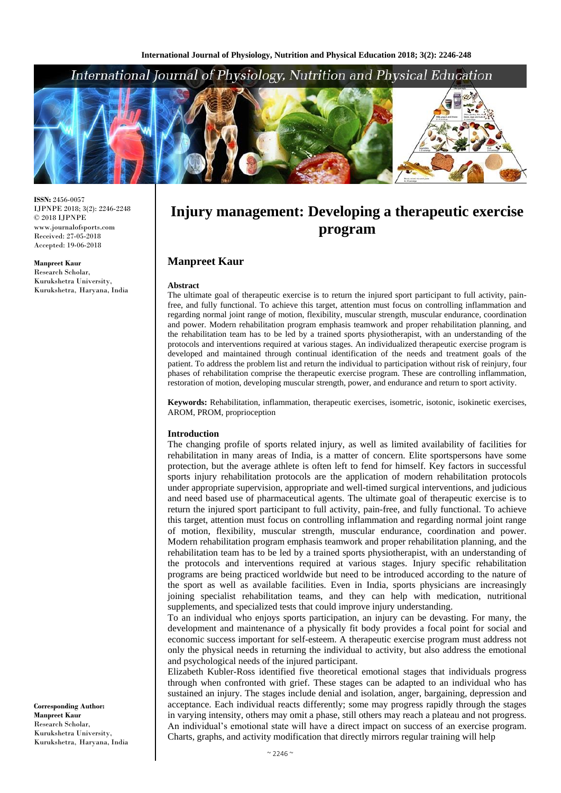# International Journal of Physiology, Nutrition and Physical Education



**ISSN:** 2456-0057 IJPNPE 2018; 3(2): 2246-2248  $\odot$  2018 IJPNPE www.journalofsports.com Received: 27-05-2018 Accepted: 19-06-2018

**Manpreet Kaur** Research Scholar, Kurukshetra University, Kurukshetra, Haryana, India **Injury management: Developing a therapeutic exercise program**

### **Manpreet Kaur**

#### **Abstract**

The ultimate goal of therapeutic exercise is to return the injured sport participant to full activity, painfree, and fully functional. To achieve this target, attention must focus on controlling inflammation and regarding normal joint range of motion, flexibility, muscular strength, muscular endurance, coordination and power. Modern rehabilitation program emphasis teamwork and proper rehabilitation planning, and the rehabilitation team has to be led by a trained sports physiotherapist, with an understanding of the protocols and interventions required at various stages. An individualized therapeutic exercise program is developed and maintained through continual identification of the needs and treatment goals of the patient. To address the problem list and return the individual to participation without risk of reinjury, four phases of rehabilitation comprise the therapeutic exercise program. These are controlling inflammation, restoration of motion, developing muscular strength, power, and endurance and return to sport activity.

**Keywords:** Rehabilitation, inflammation, therapeutic exercises, isometric, isotonic, isokinetic exercises, AROM, PROM, proprioception

#### **Introduction**

The changing profile of sports related injury, as well as limited availability of facilities for rehabilitation in many areas of India, is a matter of concern. Elite sportspersons have some protection, but the average athlete is often left to fend for himself. Key factors in successful sports injury rehabilitation protocols are the application of modern rehabilitation protocols under appropriate supervision, appropriate and well-timed surgical interventions, and judicious and need based use of pharmaceutical agents. The ultimate goal of therapeutic exercise is to return the injured sport participant to full activity, pain-free, and fully functional. To achieve this target, attention must focus on controlling inflammation and regarding normal joint range of motion, flexibility, muscular strength, muscular endurance, coordination and power. Modern rehabilitation program emphasis teamwork and proper rehabilitation planning, and the rehabilitation team has to be led by a trained sports physiotherapist, with an understanding of the protocols and interventions required at various stages. Injury specific rehabilitation programs are being practiced worldwide but need to be introduced according to the nature of the sport as well as available facilities. Even in India, sports physicians are increasingly joining specialist rehabilitation teams, and they can help with medication, nutritional supplements, and specialized tests that could improve injury understanding.

To an individual who enjoys sports participation, an injury can be devasting. For many, the development and maintenance of a physically fit body provides a focal point for social and economic success important for self-esteem. A therapeutic exercise program must address not only the physical needs in returning the individual to activity, but also address the emotional and psychological needs of the injured participant.

Elizabeth Kubler-Ross identified five theoretical emotional stages that individuals progress through when confronted with grief. These stages can be adapted to an individual who has sustained an injury. The stages include denial and isolation, anger, bargaining, depression and acceptance. Each individual reacts differently; some may progress rapidly through the stages in varying intensity, others may omit a phase, still others may reach a plateau and not progress. An individual's emotional state will have a direct impact on success of an exercise program. Charts, graphs, and activity modification that directly mirrors regular training will help

**Corresponding Author: Manpreet Kaur** Research Scholar, Kurukshetra University, Kurukshetra, Haryana, India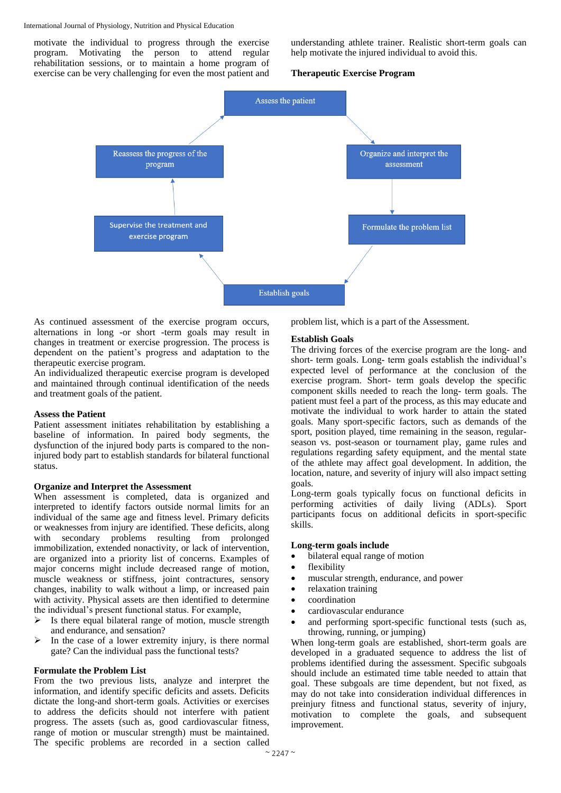#### International Journal of Physiology, Nutrition and Physical Education

motivate the individual to progress through the exercise program. Motivating the person to attend regular rehabilitation sessions, or to maintain a home program of exercise can be very challenging for even the most patient and

understanding athlete trainer. Realistic short-term goals can help motivate the injured individual to avoid this.

#### **Therapeutic Exercise Program**



As continued assessment of the exercise program occurs, alternations in long -or short -term goals may result in changes in treatment or exercise progression. The process is dependent on the patient's progress and adaptation to the therapeutic exercise program.

An individualized therapeutic exercise program is developed and maintained through continual identification of the needs and treatment goals of the patient.

#### **Assess the Patient**

Patient assessment initiates rehabilitation by establishing a baseline of information. In paired body segments, the dysfunction of the injured body parts is compared to the noninjured body part to establish standards for bilateral functional status.

#### **Organize and Interpret the Assessment**

When assessment is completed, data is organized and interpreted to identify factors outside normal limits for an individual of the same age and fitness level. Primary deficits or weaknesses from injury are identified. These deficits, along with secondary problems resulting from prolonged immobilization, extended nonactivity, or lack of intervention, are organized into a priority list of concerns. Examples of major concerns might include decreased range of motion, muscle weakness or stiffness, joint contractures, sensory changes, inability to walk without a limp, or increased pain with activity. Physical assets are then identified to determine the individual's present functional status. For example,

- $\triangleright$  Is there equal bilateral range of motion, muscle strength and endurance, and sensation?
- $\triangleright$  In the case of a lower extremity injury, is there normal gate? Can the individual pass the functional tests?

#### **Formulate the Problem List**

From the two previous lists, analyze and interpret the information, and identify specific deficits and assets. Deficits dictate the long-and short-term goals. Activities or exercises to address the deficits should not interfere with patient progress. The assets (such as, good cardiovascular fitness, range of motion or muscular strength) must be maintained. The specific problems are recorded in a section called

problem list, which is a part of the Assessment.

#### **Establish Goals**

The driving forces of the exercise program are the long- and short- term goals. Long- term goals establish the individual's expected level of performance at the conclusion of the exercise program. Short- term goals develop the specific component skills needed to reach the long- term goals. The patient must feel a part of the process, as this may educate and motivate the individual to work harder to attain the stated goals. Many sport-specific factors, such as demands of the sport, position played, time remaining in the season, regularseason vs. post-season or tournament play, game rules and regulations regarding safety equipment, and the mental state of the athlete may affect goal development. In addition, the location, nature, and severity of injury will also impact setting goals.

Long-term goals typically focus on functional deficits in performing activities of daily living (ADLs). Sport participants focus on additional deficits in sport-specific skills.

#### **Long-term goals include**

- bilateral equal range of motion
- flexibility
- muscular strength, endurance, and power
- relaxation training
- coordination
- cardiovascular endurance
- and performing sport-specific functional tests (such as, throwing, running, or jumping)

When long-term goals are established, short-term goals are developed in a graduated sequence to address the list of problems identified during the assessment. Specific subgoals should include an estimated time table needed to attain that goal. These subgoals are time dependent, but not fixed, as may do not take into consideration individual differences in preinjury fitness and functional status, severity of injury, motivation to complete the goals, and subsequent improvement.